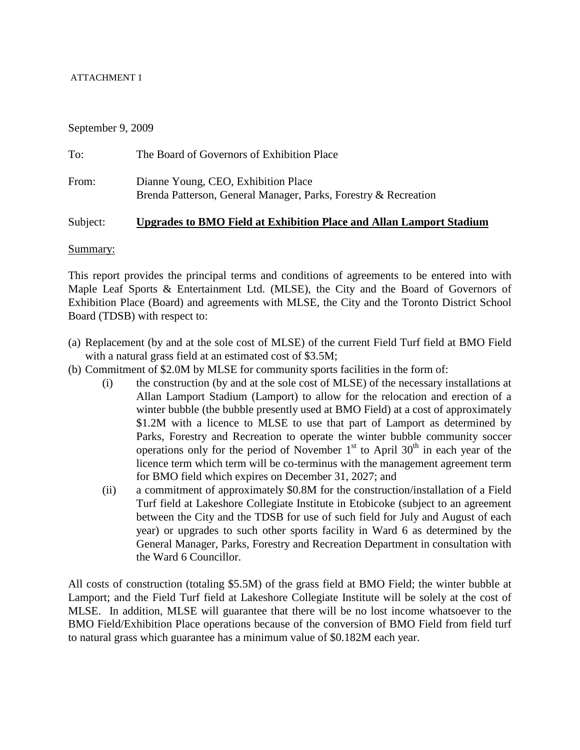# ATTACHMENT 1

September 9, 2009

| To:   | The Board of Governors of Exhibition Place                                                             |
|-------|--------------------------------------------------------------------------------------------------------|
| From: | Dianne Young, CEO, Exhibition Place<br>Brenda Patterson, General Manager, Parks, Forestry & Recreation |

# Subject: **Upgrades to BMO Field at Exhibition Place and Allan Lamport Stadium**

# Summary:

This report provides the principal terms and conditions of agreements to be entered into with Maple Leaf Sports & Entertainment Ltd. (MLSE), the City and the Board of Governors of Exhibition Place (Board) and agreements with MLSE, the City and the Toronto District School Board (TDSB) with respect to:

- (a) Replacement (by and at the sole cost of MLSE) of the current Field Turf field at BMO Field with a natural grass field at an estimated cost of \$3.5M;
- (b) Commitment of \$2.0M by MLSE for community sports facilities in the form of:
	- (i) the construction (by and at the sole cost of MLSE) of the necessary installations at Allan Lamport Stadium (Lamport) to allow for the relocation and erection of a winter bubble (the bubble presently used at BMO Field) at a cost of approximately \$1.2M with a licence to MLSE to use that part of Lamport as determined by Parks, Forestry and Recreation to operate the winter bubble community soccer operations only for the period of November  $1<sup>st</sup>$  to April 30<sup>th</sup> in each year of the licence term which term will be co-terminus with the management agreement term for BMO field which expires on December 31, 2027; and
	- (ii) a commitment of approximately \$0.8M for the construction/installation of a Field Turf field at Lakeshore Collegiate Institute in Etobicoke (subject to an agreement between the City and the TDSB for use of such field for July and August of each year) or upgrades to such other sports facility in Ward 6 as determined by the General Manager, Parks, Forestry and Recreation Department in consultation with the Ward 6 Councillor.

All costs of construction (totaling \$5.5M) of the grass field at BMO Field; the winter bubble at Lamport; and the Field Turf field at Lakeshore Collegiate Institute will be solely at the cost of MLSE. In addition, MLSE will guarantee that there will be no lost income whatsoever to the BMO Field/Exhibition Place operations because of the conversion of BMO Field from field turf to natural grass which guarantee has a minimum value of \$0.182M each year.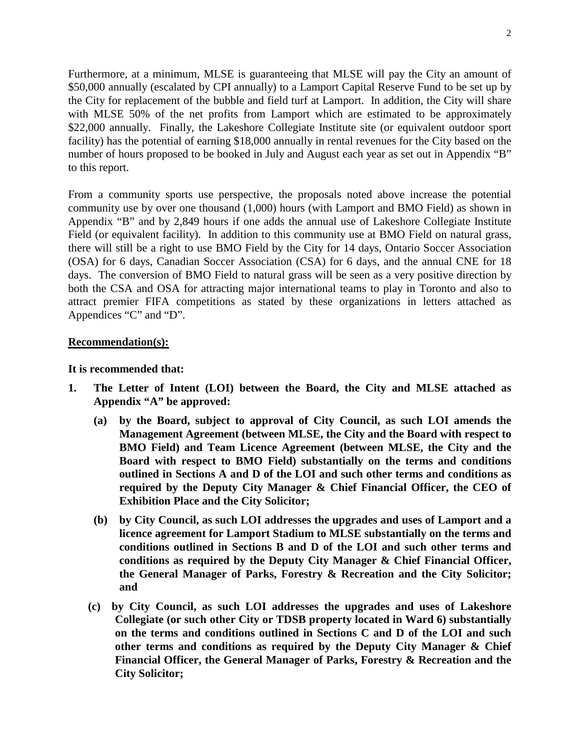Furthermore, at a minimum, MLSE is guaranteeing that MLSE will pay the City an amount of \$50,000 annually (escalated by CPI annually) to a Lamport Capital Reserve Fund to be set up by the City for replacement of the bubble and field turf at Lamport. In addition, the City will share with MLSE 50% of the net profits from Lamport which are estimated to be approximately \$22,000 annually. Finally, the Lakeshore Collegiate Institute site (or equivalent outdoor sport facility) has the potential of earning \$18,000 annually in rental revenues for the City based on the number of hours proposed to be booked in July and August each year as set out in Appendix "B" to this report.

From a community sports use perspective, the proposals noted above increase the potential community use by over one thousand (1,000) hours (with Lamport and BMO Field) as shown in Appendix "B" and by 2,849 hours if one adds the annual use of Lakeshore Collegiate Institute Field (or equivalent facility). In addition to this community use at BMO Field on natural grass, there will still be a right to use BMO Field by the City for 14 days, Ontario Soccer Association (OSA) for 6 days, Canadian Soccer Association (CSA) for 6 days, and the annual CNE for 18 days. The conversion of BMO Field to natural grass will be seen as a very positive direction by both the CSA and OSA for attracting major international teams to play in Toronto and also to attract premier FIFA competitions as stated by these organizations in letters attached as Appendices "C" and "D".

# **Recommendation(s):**

# **It is recommended that:**

- **1. The Letter of Intent (LOI) between the Board, the City and MLSE attached as Appendix "A" be approved:** 
	- **(a) by the Board, subject to approval of City Council, as such LOI amends the Management Agreement (between MLSE, the City and the Board with respect to BMO Field) and Team Licence Agreement (between MLSE, the City and the Board with respect to BMO Field) substantially on the terms and conditions outlined in Sections A and D of the LOI and such other terms and conditions as required by the Deputy City Manager & Chief Financial Officer, the CEO of Exhibition Place and the City Solicitor;**
	- **(b) by City Council, as such LOI addresses the upgrades and uses of Lamport and a licence agreement for Lamport Stadium to MLSE substantially on the terms and conditions outlined in Sections B and D of the LOI and such other terms and conditions as required by the Deputy City Manager & Chief Financial Officer, the General Manager of Parks, Forestry & Recreation and the City Solicitor; and**
	- **(c) by City Council, as such LOI addresses the upgrades and uses of Lakeshore Collegiate (or such other City or TDSB property located in Ward 6) substantially on the terms and conditions outlined in Sections C and D of the LOI and such other terms and conditions as required by the Deputy City Manager & Chief Financial Officer, the General Manager of Parks, Forestry & Recreation and the City Solicitor;**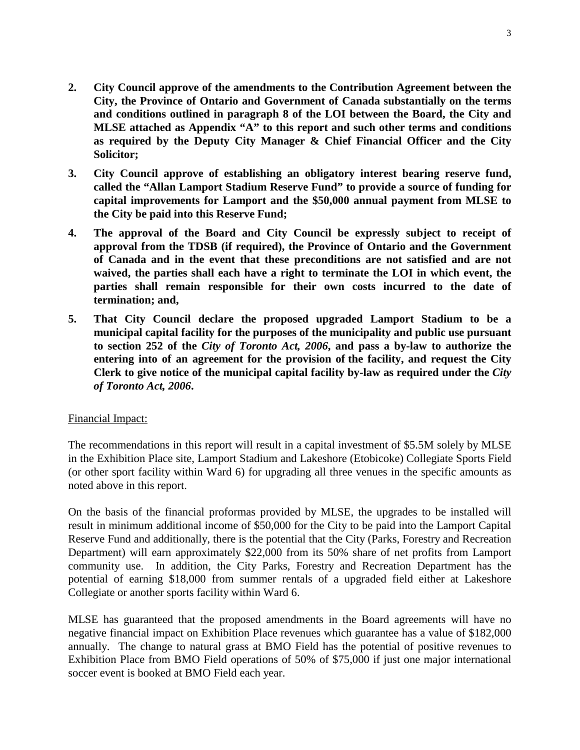- **2. City Council approve of the amendments to the Contribution Agreement between the City, the Province of Ontario and Government of Canada substantially on the terms and conditions outlined in paragraph 8 of the LOI between the Board, the City and MLSE attached as Appendix "A" to this report and such other terms and conditions as required by the Deputy City Manager & Chief Financial Officer and the City Solicitor;**
- **3. City Council approve of establishing an obligatory interest bearing reserve fund, called the "Allan Lamport Stadium Reserve Fund" to provide a source of funding for capital improvements for Lamport and the \$50,000 annual payment from MLSE to the City be paid into this Reserve Fund;**
- **4. The approval of the Board and City Council be expressly subject to receipt of approval from the TDSB (if required), the Province of Ontario and the Government of Canada and in the event that these preconditions are not satisfied and are not waived, the parties shall each have a right to terminate the LOI in which event, the parties shall remain responsible for their own costs incurred to the date of termination; and,**
- **5. That City Council declare the proposed upgraded Lamport Stadium to be a municipal capital facility for the purposes of the municipality and public use pursuant to section 252 of the** *City of Toronto Act, 2006***, and pass a by-law to authorize the entering into of an agreement for the provision of the facility, and request the City Clerk to give notice of the municipal capital facility by-law as required under the** *City of Toronto Act, 2006***.**

## Financial Impact:

The recommendations in this report will result in a capital investment of \$5.5M solely by MLSE in the Exhibition Place site, Lamport Stadium and Lakeshore (Etobicoke) Collegiate Sports Field (or other sport facility within Ward 6) for upgrading all three venues in the specific amounts as noted above in this report.

On the basis of the financial proformas provided by MLSE, the upgrades to be installed will result in minimum additional income of \$50,000 for the City to be paid into the Lamport Capital Reserve Fund and additionally, there is the potential that the City (Parks, Forestry and Recreation Department) will earn approximately \$22,000 from its 50% share of net profits from Lamport community use. In addition, the City Parks, Forestry and Recreation Department has the potential of earning \$18,000 from summer rentals of a upgraded field either at Lakeshore Collegiate or another sports facility within Ward 6.

MLSE has guaranteed that the proposed amendments in the Board agreements will have no negative financial impact on Exhibition Place revenues which guarantee has a value of \$182,000 annually. The change to natural grass at BMO Field has the potential of positive revenues to Exhibition Place from BMO Field operations of 50% of \$75,000 if just one major international soccer event is booked at BMO Field each year.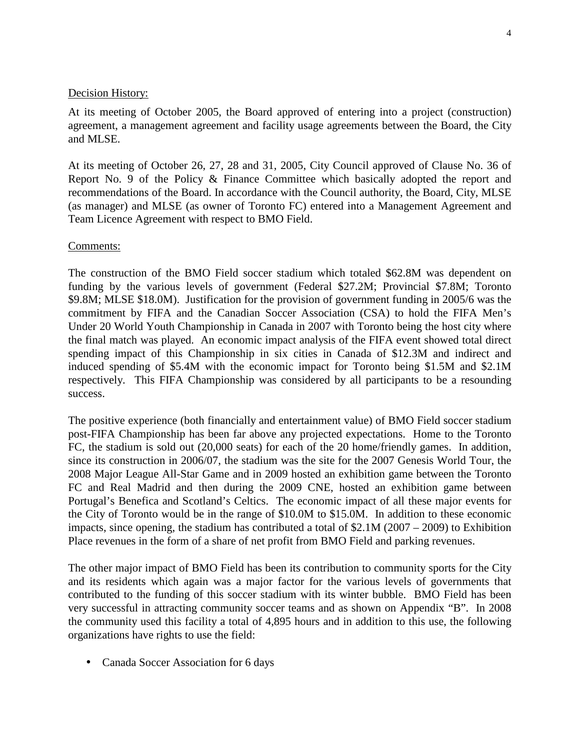# Decision History:

At its meeting of October 2005, the Board approved of entering into a project (construction) agreement, a management agreement and facility usage agreements between the Board, the City and MLSE.

At its meeting of October 26, 27, 28 and 31, 2005, City Council approved of Clause No. 36 of Report No. 9 of the Policy & Finance Committee which basically adopted the report and recommendations of the Board. In accordance with the Council authority, the Board, City, MLSE (as manager) and MLSE (as owner of Toronto FC) entered into a Management Agreement and Team Licence Agreement with respect to BMO Field.

# Comments:

The construction of the BMO Field soccer stadium which totaled \$62.8M was dependent on funding by the various levels of government (Federal \$27.2M; Provincial \$7.8M; Toronto \$9.8M; MLSE \$18.0M). Justification for the provision of government funding in 2005/6 was the commitment by FIFA and the Canadian Soccer Association (CSA) to hold the FIFA Men's Under 20 World Youth Championship in Canada in 2007 with Toronto being the host city where the final match was played. An economic impact analysis of the FIFA event showed total direct spending impact of this Championship in six cities in Canada of \$12.3M and indirect and induced spending of \$5.4M with the economic impact for Toronto being \$1.5M and \$2.1M respectively. This FIFA Championship was considered by all participants to be a resounding success.

The positive experience (both financially and entertainment value) of BMO Field soccer stadium post-FIFA Championship has been far above any projected expectations. Home to the Toronto FC, the stadium is sold out (20,000 seats) for each of the 20 home/friendly games. In addition, since its construction in 2006/07, the stadium was the site for the 2007 Genesis World Tour, the 2008 Major League All-Star Game and in 2009 hosted an exhibition game between the Toronto FC and Real Madrid and then during the 2009 CNE, hosted an exhibition game between Portugal's Benefica and Scotland's Celtics. The economic impact of all these major events for the City of Toronto would be in the range of \$10.0M to \$15.0M. In addition to these economic impacts, since opening, the stadium has contributed a total of \$2.1M (2007 – 2009) to Exhibition Place revenues in the form of a share of net profit from BMO Field and parking revenues.

The other major impact of BMO Field has been its contribution to community sports for the City and its residents which again was a major factor for the various levels of governments that contributed to the funding of this soccer stadium with its winter bubble. BMO Field has been very successful in attracting community soccer teams and as shown on Appendix "B". In 2008 the community used this facility a total of 4,895 hours and in addition to this use, the following organizations have rights to use the field:

• Canada Soccer Association for 6 days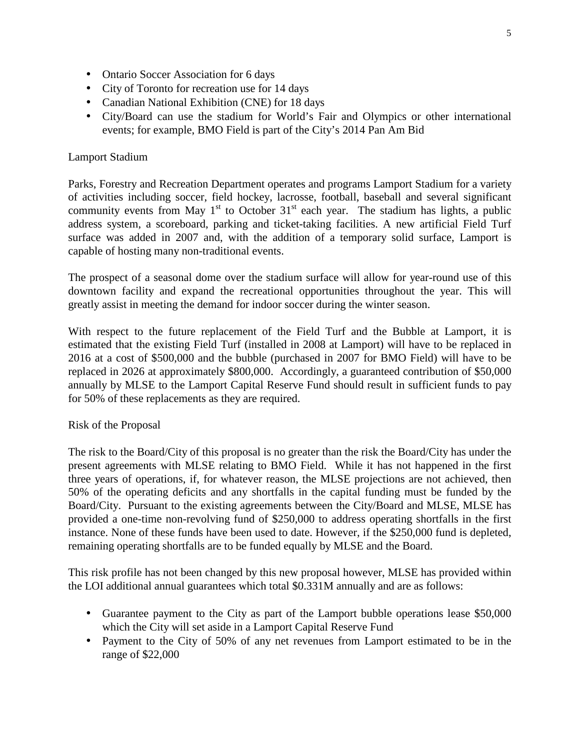- Ontario Soccer Association for 6 days
- City of Toronto for recreation use for 14 days
- Canadian National Exhibition (CNE) for 18 days
- City/Board can use the stadium for World's Fair and Olympics or other international events; for example, BMO Field is part of the City's 2014 Pan Am Bid

# Lamport Stadium

Parks, Forestry and Recreation Department operates and programs Lamport Stadium for a variety of activities including soccer, field hockey, lacrosse, football, baseball and several significant community events from May  $1<sup>st</sup>$  to October 31<sup>st</sup> each year. The stadium has lights, a public address system, a scoreboard, parking and ticket-taking facilities. A new artificial Field Turf surface was added in 2007 and, with the addition of a temporary solid surface, Lamport is capable of hosting many non-traditional events.

The prospect of a seasonal dome over the stadium surface will allow for year-round use of this downtown facility and expand the recreational opportunities throughout the year. This will greatly assist in meeting the demand for indoor soccer during the winter season.

With respect to the future replacement of the Field Turf and the Bubble at Lamport, it is estimated that the existing Field Turf (installed in 2008 at Lamport) will have to be replaced in 2016 at a cost of \$500,000 and the bubble (purchased in 2007 for BMO Field) will have to be replaced in 2026 at approximately \$800,000. Accordingly, a guaranteed contribution of \$50,000 annually by MLSE to the Lamport Capital Reserve Fund should result in sufficient funds to pay for 50% of these replacements as they are required.

# Risk of the Proposal

The risk to the Board/City of this proposal is no greater than the risk the Board/City has under the present agreements with MLSE relating to BMO Field. While it has not happened in the first three years of operations, if, for whatever reason, the MLSE projections are not achieved, then 50% of the operating deficits and any shortfalls in the capital funding must be funded by the Board/City. Pursuant to the existing agreements between the City/Board and MLSE, MLSE has provided a one-time non-revolving fund of \$250,000 to address operating shortfalls in the first instance. None of these funds have been used to date. However, if the \$250,000 fund is depleted, remaining operating shortfalls are to be funded equally by MLSE and the Board.

This risk profile has not been changed by this new proposal however, MLSE has provided within the LOI additional annual guarantees which total \$0.331M annually and are as follows:

- Guarantee payment to the City as part of the Lamport bubble operations lease \$50,000 which the City will set aside in a Lamport Capital Reserve Fund
- Payment to the City of 50% of any net revenues from Lamport estimated to be in the range of \$22,000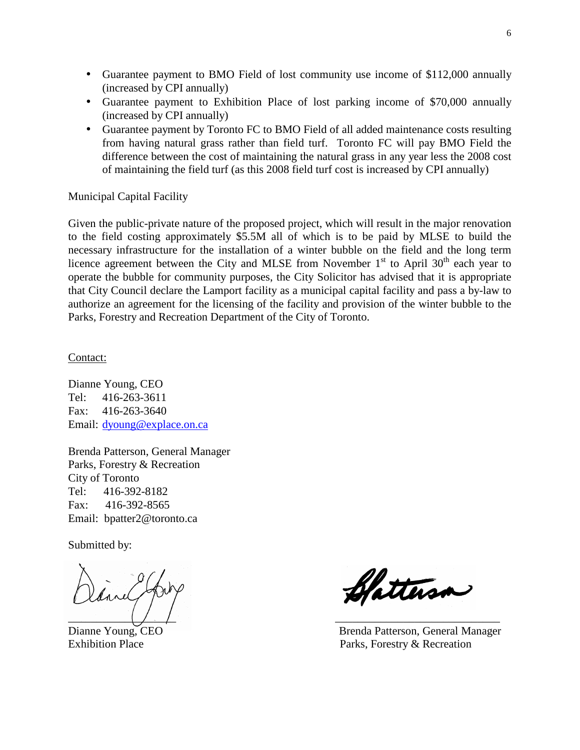- Guarantee payment to BMO Field of lost community use income of \$112,000 annually (increased by CPI annually)
- Guarantee payment to Exhibition Place of lost parking income of \$70,000 annually (increased by CPI annually)
- Guarantee payment by Toronto FC to BMO Field of all added maintenance costs resulting from having natural grass rather than field turf. Toronto FC will pay BMO Field the difference between the cost of maintaining the natural grass in any year less the 2008 cost of maintaining the field turf (as this 2008 field turf cost is increased by CPI annually)

Municipal Capital Facility

Given the public-private nature of the proposed project, which will result in the major renovation to the field costing approximately \$5.5M all of which is to be paid by MLSE to build the necessary infrastructure for the installation of a winter bubble on the field and the long term licence agreement between the City and MLSE from November  $1<sup>st</sup>$  to April 30<sup>th</sup> each year to operate the bubble for community purposes, the City Solicitor has advised that it is appropriate that City Council declare the Lamport facility as a municipal capital facility and pass a by-law to authorize an agreement for the licensing of the facility and provision of the winter bubble to the Parks, Forestry and Recreation Department of the City of Toronto.

Contact:

Dianne Young, CEO Tel: 416-263-3611 Fax: 416-263-3640 Email: dyoung@explace.on.ca

Brenda Patterson, General Manager Parks, Forestry & Recreation City of Toronto Tel: 416-392-8182 Fax: 416-392-8565 Email: bpatter2@toronto.ca

Submitted by:

 $\overline{\phantom{a}}$  ,  $\overline{\phantom{a}}$  ,  $\overline{\phantom{a}}$  ,  $\overline{\phantom{a}}$  ,  $\overline{\phantom{a}}$  ,  $\overline{\phantom{a}}$  ,  $\overline{\phantom{a}}$  ,  $\overline{\phantom{a}}$  ,  $\overline{\phantom{a}}$  ,  $\overline{\phantom{a}}$  ,  $\overline{\phantom{a}}$  ,  $\overline{\phantom{a}}$  ,  $\overline{\phantom{a}}$  ,  $\overline{\phantom{a}}$  ,  $\overline{\phantom{a}}$  ,  $\overline{\phantom{a}}$ 

Clatterson

Dianne Young, CEO Brenda Patterson, General Manager Exhibition Place **Parks**, Forestry & Recreation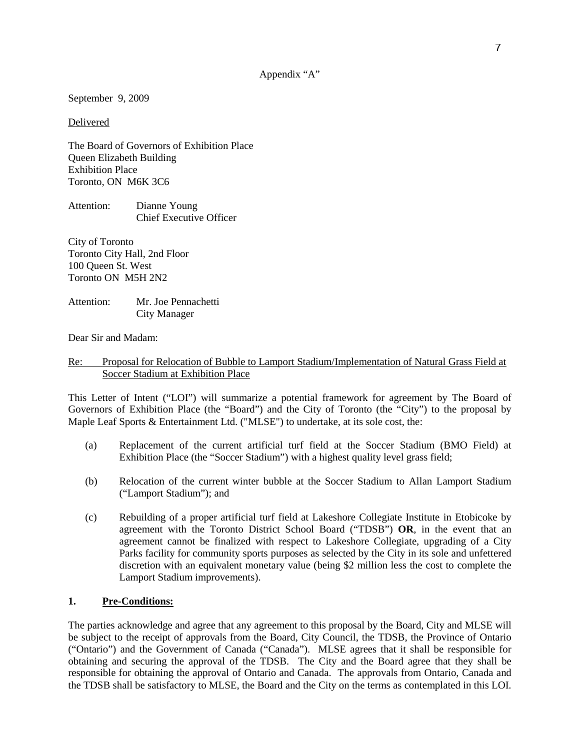### Appendix "A"

September 9, 2009

Delivered

The Board of Governors of Exhibition Place Queen Elizabeth Building Exhibition Place Toronto, ON M6K 3C6

| Attention: | Dianne Young                   |
|------------|--------------------------------|
|            | <b>Chief Executive Officer</b> |

City of Toronto Toronto City Hall, 2nd Floor 100 Queen St. West Toronto ON M5H 2N2

Attention: Mr. Joe Pennachetti City Manager

Dear Sir and Madam:

## Re: Proposal for Relocation of Bubble to Lamport Stadium/Implementation of Natural Grass Field at Soccer Stadium at Exhibition Place

This Letter of Intent ("LOI") will summarize a potential framework for agreement by The Board of Governors of Exhibition Place (the "Board") and the City of Toronto (the "City") to the proposal by Maple Leaf Sports & Entertainment Ltd. ("MLSE") to undertake, at its sole cost, the:

- (a) Replacement of the current artificial turf field at the Soccer Stadium (BMO Field) at Exhibition Place (the "Soccer Stadium") with a highest quality level grass field;
- (b) Relocation of the current winter bubble at the Soccer Stadium to Allan Lamport Stadium ("Lamport Stadium"); and
- (c) Rebuilding of a proper artificial turf field at Lakeshore Collegiate Institute in Etobicoke by agreement with the Toronto District School Board ("TDSB") **OR**, in the event that an agreement cannot be finalized with respect to Lakeshore Collegiate, upgrading of a City Parks facility for community sports purposes as selected by the City in its sole and unfettered discretion with an equivalent monetary value (being \$2 million less the cost to complete the Lamport Stadium improvements).

## **1. Pre-Conditions:**

The parties acknowledge and agree that any agreement to this proposal by the Board, City and MLSE will be subject to the receipt of approvals from the Board, City Council, the TDSB, the Province of Ontario ("Ontario") and the Government of Canada ("Canada"). MLSE agrees that it shall be responsible for obtaining and securing the approval of the TDSB. The City and the Board agree that they shall be responsible for obtaining the approval of Ontario and Canada. The approvals from Ontario, Canada and the TDSB shall be satisfactory to MLSE, the Board and the City on the terms as contemplated in this LOI.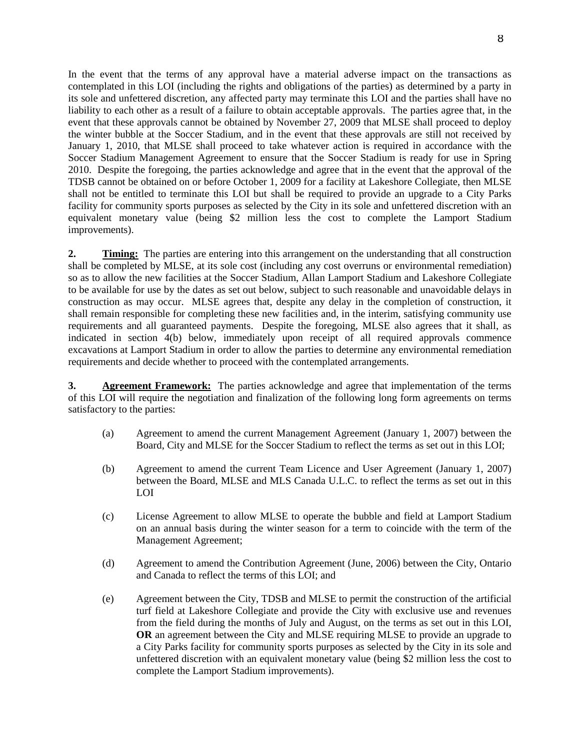In the event that the terms of any approval have a material adverse impact on the transactions as contemplated in this LOI (including the rights and obligations of the parties) as determined by a party in its sole and unfettered discretion, any affected party may terminate this LOI and the parties shall have no liability to each other as a result of a failure to obtain acceptable approvals. The parties agree that, in the event that these approvals cannot be obtained by November 27, 2009 that MLSE shall proceed to deploy the winter bubble at the Soccer Stadium, and in the event that these approvals are still not received by January 1, 2010, that MLSE shall proceed to take whatever action is required in accordance with the Soccer Stadium Management Agreement to ensure that the Soccer Stadium is ready for use in Spring 2010. Despite the foregoing, the parties acknowledge and agree that in the event that the approval of the TDSB cannot be obtained on or before October 1, 2009 for a facility at Lakeshore Collegiate, then MLSE shall not be entitled to terminate this LOI but shall be required to provide an upgrade to a City Parks facility for community sports purposes as selected by the City in its sole and unfettered discretion with an equivalent monetary value (being \$2 million less the cost to complete the Lamport Stadium improvements).

**2. Timing:** The parties are entering into this arrangement on the understanding that all construction shall be completed by MLSE, at its sole cost (including any cost overruns or environmental remediation) so as to allow the new facilities at the Soccer Stadium, Allan Lamport Stadium and Lakeshore Collegiate to be available for use by the dates as set out below, subject to such reasonable and unavoidable delays in construction as may occur. MLSE agrees that, despite any delay in the completion of construction, it shall remain responsible for completing these new facilities and, in the interim, satisfying community use requirements and all guaranteed payments. Despite the foregoing, MLSE also agrees that it shall, as indicated in section 4(b) below, immediately upon receipt of all required approvals commence excavations at Lamport Stadium in order to allow the parties to determine any environmental remediation requirements and decide whether to proceed with the contemplated arrangements.

**3.** Agreement Framework: The parties acknowledge and agree that implementation of the terms of this LOI will require the negotiation and finalization of the following long form agreements on terms satisfactory to the parties:

- (a) Agreement to amend the current Management Agreement (January 1, 2007) between the Board, City and MLSE for the Soccer Stadium to reflect the terms as set out in this LOI;
- (b) Agreement to amend the current Team Licence and User Agreement (January 1, 2007) between the Board, MLSE and MLS Canada U.L.C. to reflect the terms as set out in this LOI
- (c) License Agreement to allow MLSE to operate the bubble and field at Lamport Stadium on an annual basis during the winter season for a term to coincide with the term of the Management Agreement;
- (d) Agreement to amend the Contribution Agreement (June, 2006) between the City, Ontario and Canada to reflect the terms of this LOI; and
- (e) Agreement between the City, TDSB and MLSE to permit the construction of the artificial turf field at Lakeshore Collegiate and provide the City with exclusive use and revenues from the field during the months of July and August, on the terms as set out in this LOI, **OR** an agreement between the City and MLSE requiring MLSE to provide an upgrade to a City Parks facility for community sports purposes as selected by the City in its sole and unfettered discretion with an equivalent monetary value (being \$2 million less the cost to complete the Lamport Stadium improvements).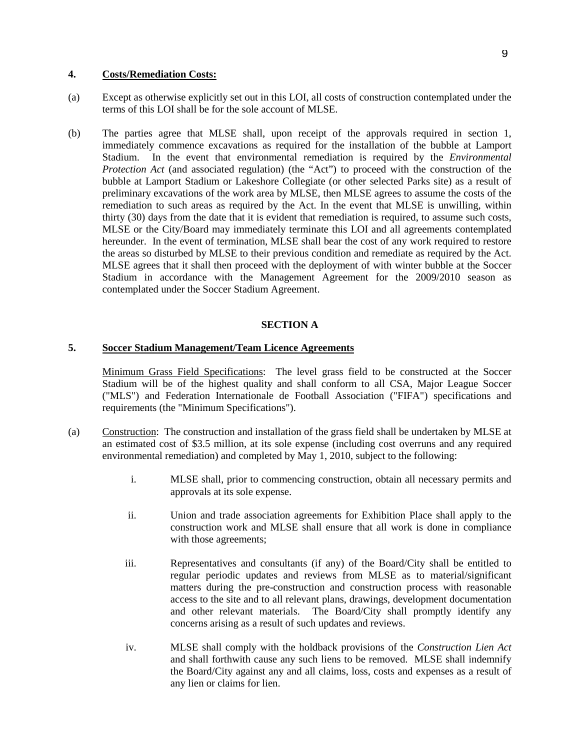### **4. Costs/Remediation Costs:**

- (a) Except as otherwise explicitly set out in this LOI, all costs of construction contemplated under the terms of this LOI shall be for the sole account of MLSE.
- (b) The parties agree that MLSE shall, upon receipt of the approvals required in section 1, immediately commence excavations as required for the installation of the bubble at Lamport Stadium. In the event that environmental remediation is required by the *Environmental Protection Act* (and associated regulation) (the "Act") to proceed with the construction of the bubble at Lamport Stadium or Lakeshore Collegiate (or other selected Parks site) as a result of preliminary excavations of the work area by MLSE, then MLSE agrees to assume the costs of the remediation to such areas as required by the Act. In the event that MLSE is unwilling, within thirty (30) days from the date that it is evident that remediation is required, to assume such costs, MLSE or the City/Board may immediately terminate this LOI and all agreements contemplated hereunder. In the event of termination, MLSE shall bear the cost of any work required to restore the areas so disturbed by MLSE to their previous condition and remediate as required by the Act. MLSE agrees that it shall then proceed with the deployment of with winter bubble at the Soccer Stadium in accordance with the Management Agreement for the 2009/2010 season as contemplated under the Soccer Stadium Agreement.

### **SECTION A**

#### **5. Soccer Stadium Management/Team Licence Agreements**

Minimum Grass Field Specifications: The level grass field to be constructed at the Soccer Stadium will be of the highest quality and shall conform to all CSA, Major League Soccer ("MLS") and Federation Internationale de Football Association ("FIFA") specifications and requirements (the "Minimum Specifications").

- (a) Construction: The construction and installation of the grass field shall be undertaken by MLSE at an estimated cost of \$3.5 million, at its sole expense (including cost overruns and any required environmental remediation) and completed by May 1, 2010, subject to the following:
	- i. MLSE shall, prior to commencing construction, obtain all necessary permits and approvals at its sole expense.
	- ii. Union and trade association agreements for Exhibition Place shall apply to the construction work and MLSE shall ensure that all work is done in compliance with those agreements;
	- iii. Representatives and consultants (if any) of the Board/City shall be entitled to regular periodic updates and reviews from MLSE as to material/significant matters during the pre-construction and construction process with reasonable access to the site and to all relevant plans, drawings, development documentation and other relevant materials. The Board/City shall promptly identify any concerns arising as a result of such updates and reviews.
	- iv. MLSE shall comply with the holdback provisions of the *Construction Lien Act* and shall forthwith cause any such liens to be removed. MLSE shall indemnify the Board/City against any and all claims, loss, costs and expenses as a result of any lien or claims for lien.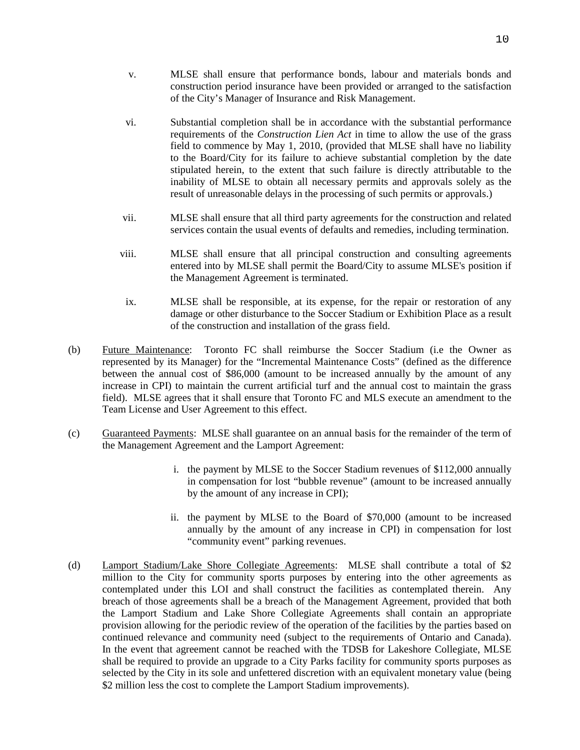- v. MLSE shall ensure that performance bonds, labour and materials bonds and construction period insurance have been provided or arranged to the satisfaction of the City's Manager of Insurance and Risk Management.
- vi. Substantial completion shall be in accordance with the substantial performance requirements of the *Construction Lien Act* in time to allow the use of the grass field to commence by May 1, 2010, (provided that MLSE shall have no liability to the Board/City for its failure to achieve substantial completion by the date stipulated herein, to the extent that such failure is directly attributable to the inability of MLSE to obtain all necessary permits and approvals solely as the result of unreasonable delays in the processing of such permits or approvals.)
- vii. MLSE shall ensure that all third party agreements for the construction and related services contain the usual events of defaults and remedies, including termination.
- viii. MLSE shall ensure that all principal construction and consulting agreements entered into by MLSE shall permit the Board/City to assume MLSE's position if the Management Agreement is terminated.
- ix. MLSE shall be responsible, at its expense, for the repair or restoration of any damage or other disturbance to the Soccer Stadium or Exhibition Place as a result of the construction and installation of the grass field.
- (b) Future Maintenance: Toronto FC shall reimburse the Soccer Stadium (i.e the Owner as represented by its Manager) for the "Incremental Maintenance Costs" (defined as the difference between the annual cost of \$86,000 (amount to be increased annually by the amount of any increase in CPI) to maintain the current artificial turf and the annual cost to maintain the grass field). MLSE agrees that it shall ensure that Toronto FC and MLS execute an amendment to the Team License and User Agreement to this effect.
- (c) Guaranteed Payments: MLSE shall guarantee on an annual basis for the remainder of the term of the Management Agreement and the Lamport Agreement:
	- i. the payment by MLSE to the Soccer Stadium revenues of \$112,000 annually in compensation for lost "bubble revenue" (amount to be increased annually by the amount of any increase in CPI);
	- ii. the payment by MLSE to the Board of \$70,000 (amount to be increased annually by the amount of any increase in CPI) in compensation for lost "community event" parking revenues.
- (d) Lamport Stadium/Lake Shore Collegiate Agreements: MLSE shall contribute a total of \$2 million to the City for community sports purposes by entering into the other agreements as contemplated under this LOI and shall construct the facilities as contemplated therein. Any breach of those agreements shall be a breach of the Management Agreement, provided that both the Lamport Stadium and Lake Shore Collegiate Agreements shall contain an appropriate provision allowing for the periodic review of the operation of the facilities by the parties based on continued relevance and community need (subject to the requirements of Ontario and Canada). In the event that agreement cannot be reached with the TDSB for Lakeshore Collegiate, MLSE shall be required to provide an upgrade to a City Parks facility for community sports purposes as selected by the City in its sole and unfettered discretion with an equivalent monetary value (being \$2 million less the cost to complete the Lamport Stadium improvements).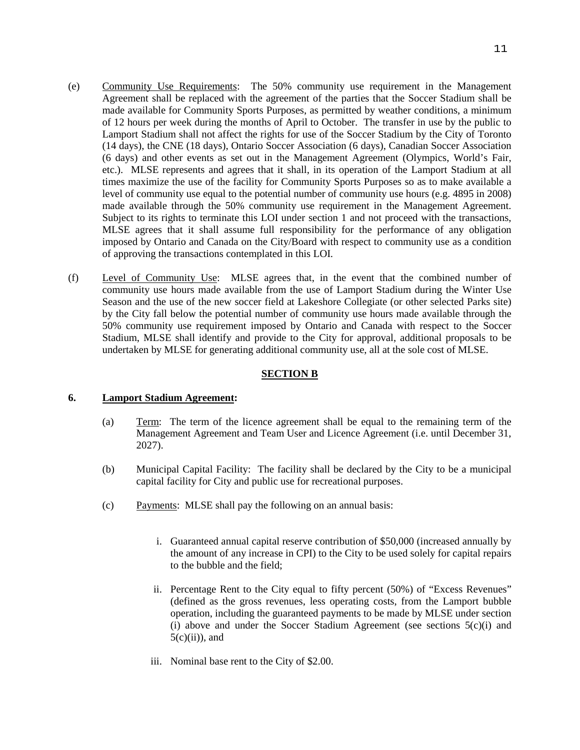- (e) Community Use Requirements: The 50% community use requirement in the Management Agreement shall be replaced with the agreement of the parties that the Soccer Stadium shall be made available for Community Sports Purposes, as permitted by weather conditions, a minimum of 12 hours per week during the months of April to October. The transfer in use by the public to Lamport Stadium shall not affect the rights for use of the Soccer Stadium by the City of Toronto (14 days), the CNE (18 days), Ontario Soccer Association (6 days), Canadian Soccer Association (6 days) and other events as set out in the Management Agreement (Olympics, World's Fair, etc.). MLSE represents and agrees that it shall, in its operation of the Lamport Stadium at all times maximize the use of the facility for Community Sports Purposes so as to make available a level of community use equal to the potential number of community use hours (e.g. 4895 in 2008) made available through the 50% community use requirement in the Management Agreement. Subject to its rights to terminate this LOI under section 1 and not proceed with the transactions, MLSE agrees that it shall assume full responsibility for the performance of any obligation imposed by Ontario and Canada on the City/Board with respect to community use as a condition of approving the transactions contemplated in this LOI.
- (f) Level of Community Use: MLSE agrees that, in the event that the combined number of community use hours made available from the use of Lamport Stadium during the Winter Use Season and the use of the new soccer field at Lakeshore Collegiate (or other selected Parks site) by the City fall below the potential number of community use hours made available through the 50% community use requirement imposed by Ontario and Canada with respect to the Soccer Stadium, MLSE shall identify and provide to the City for approval, additional proposals to be undertaken by MLSE for generating additional community use, all at the sole cost of MLSE.

### **SECTION B**

#### **6. Lamport Stadium Agreement:**

- (a) Term: The term of the licence agreement shall be equal to the remaining term of the Management Agreement and Team User and Licence Agreement (i.e. until December 31, 2027).
- (b) Municipal Capital Facility: The facility shall be declared by the City to be a municipal capital facility for City and public use for recreational purposes.
- (c) Payments: MLSE shall pay the following on an annual basis:
	- i. Guaranteed annual capital reserve contribution of \$50,000 (increased annually by the amount of any increase in CPI) to the City to be used solely for capital repairs to the bubble and the field;
	- ii. Percentage Rent to the City equal to fifty percent (50%) of "Excess Revenues" (defined as the gross revenues, less operating costs, from the Lamport bubble operation, including the guaranteed payments to be made by MLSE under section (i) above and under the Soccer Stadium Agreement (see sections 5(c)(i) and  $5(c)(ii)$ , and
	- iii. Nominal base rent to the City of \$2.00.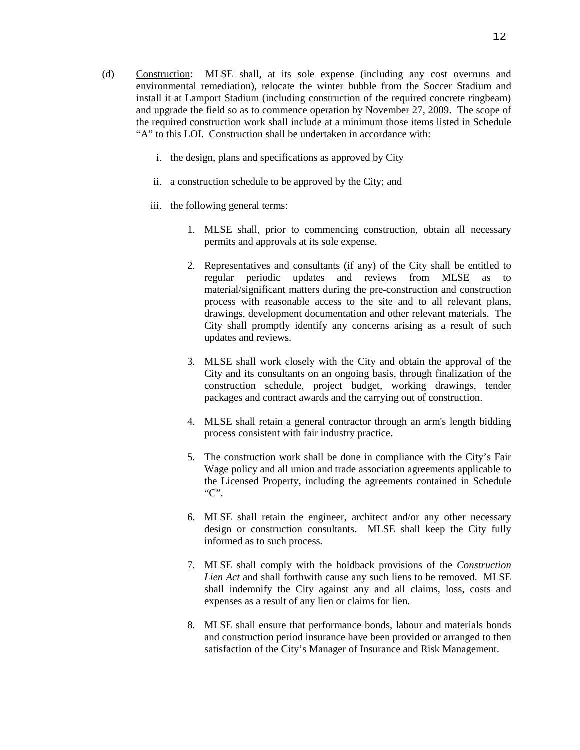- (d) Construction: MLSE shall, at its sole expense (including any cost overruns and environmental remediation), relocate the winter bubble from the Soccer Stadium and install it at Lamport Stadium (including construction of the required concrete ringbeam) and upgrade the field so as to commence operation by November 27, 2009. The scope of the required construction work shall include at a minimum those items listed in Schedule "A" to this LOI. Construction shall be undertaken in accordance with:
	- i. the design, plans and specifications as approved by City
	- ii. a construction schedule to be approved by the City; and
	- iii. the following general terms:
		- 1. MLSE shall, prior to commencing construction, obtain all necessary permits and approvals at its sole expense.
		- 2. Representatives and consultants (if any) of the City shall be entitled to regular periodic updates and reviews from MLSE as to material/significant matters during the pre-construction and construction process with reasonable access to the site and to all relevant plans, drawings, development documentation and other relevant materials. The City shall promptly identify any concerns arising as a result of such updates and reviews.
		- 3. MLSE shall work closely with the City and obtain the approval of the City and its consultants on an ongoing basis, through finalization of the construction schedule, project budget, working drawings, tender packages and contract awards and the carrying out of construction.
		- 4. MLSE shall retain a general contractor through an arm's length bidding process consistent with fair industry practice.
		- 5. The construction work shall be done in compliance with the City's Fair Wage policy and all union and trade association agreements applicable to the Licensed Property, including the agreements contained in Schedule "C".
		- 6. MLSE shall retain the engineer, architect and/or any other necessary design or construction consultants. MLSE shall keep the City fully informed as to such process.
		- 7. MLSE shall comply with the holdback provisions of the *Construction Lien Act* and shall forthwith cause any such liens to be removed. MLSE shall indemnify the City against any and all claims, loss, costs and expenses as a result of any lien or claims for lien.
		- 8. MLSE shall ensure that performance bonds, labour and materials bonds and construction period insurance have been provided or arranged to then satisfaction of the City's Manager of Insurance and Risk Management.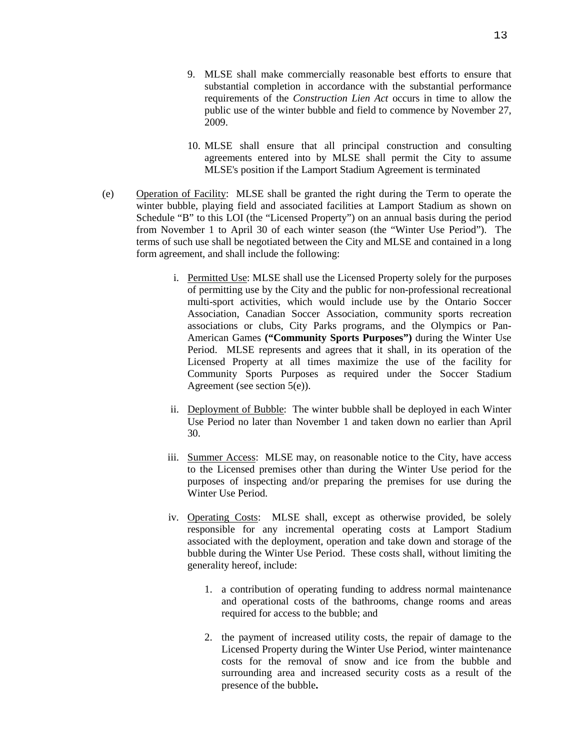- 10. MLSE shall ensure that all principal construction and consulting agreements entered into by MLSE shall permit the City to assume MLSE's position if the Lamport Stadium Agreement is terminated
- (e) Operation of Facility: MLSE shall be granted the right during the Term to operate the winter bubble, playing field and associated facilities at Lamport Stadium as shown on Schedule "B" to this LOI (the "Licensed Property") on an annual basis during the period from November 1 to April 30 of each winter season (the "Winter Use Period"). The terms of such use shall be negotiated between the City and MLSE and contained in a long form agreement, and shall include the following:
	- i. Permitted Use: MLSE shall use the Licensed Property solely for the purposes of permitting use by the City and the public for non-professional recreational multi-sport activities, which would include use by the Ontario Soccer Association, Canadian Soccer Association, community sports recreation associations or clubs, City Parks programs, and the Olympics or Pan-American Games **("Community Sports Purposes")** during the Winter Use Period. MLSE represents and agrees that it shall, in its operation of the Licensed Property at all times maximize the use of the facility for Community Sports Purposes as required under the Soccer Stadium Agreement (see section 5(e)).
	- ii. Deployment of Bubble: The winter bubble shall be deployed in each Winter Use Period no later than November 1 and taken down no earlier than April 30.
	- iii. Summer Access: MLSE may, on reasonable notice to the City, have access to the Licensed premises other than during the Winter Use period for the purposes of inspecting and/or preparing the premises for use during the Winter Use Period.
	- iv. Operating Costs: MLSE shall, except as otherwise provided, be solely responsible for any incremental operating costs at Lamport Stadium associated with the deployment, operation and take down and storage of the bubble during the Winter Use Period. These costs shall, without limiting the generality hereof, include:
		- 1. a contribution of operating funding to address normal maintenance and operational costs of the bathrooms, change rooms and areas required for access to the bubble; and
		- 2. the payment of increased utility costs, the repair of damage to the Licensed Property during the Winter Use Period, winter maintenance costs for the removal of snow and ice from the bubble and surrounding area and increased security costs as a result of the presence of the bubble**.**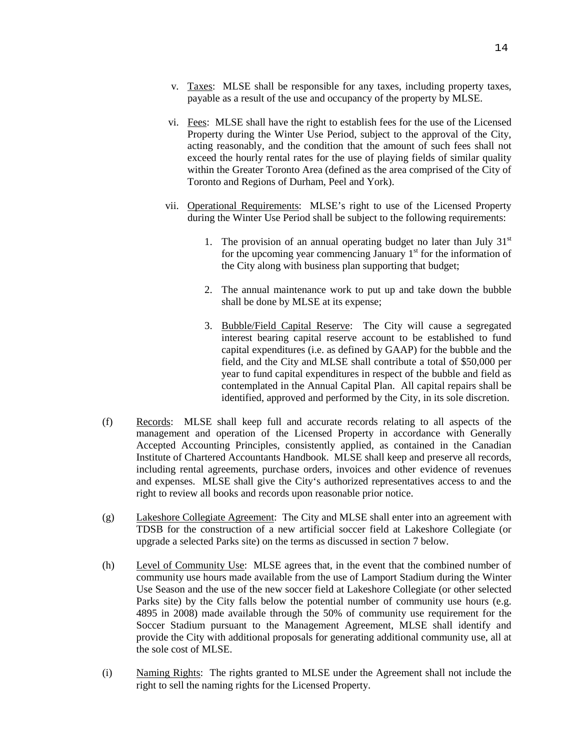- v. Taxes: MLSE shall be responsible for any taxes, including property taxes, payable as a result of the use and occupancy of the property by MLSE.
- vi. Fees: MLSE shall have the right to establish fees for the use of the Licensed Property during the Winter Use Period, subject to the approval of the City, acting reasonably, and the condition that the amount of such fees shall not exceed the hourly rental rates for the use of playing fields of similar quality within the Greater Toronto Area (defined as the area comprised of the City of Toronto and Regions of Durham, Peel and York).
- vii. Operational Requirements: MLSE's right to use of the Licensed Property during the Winter Use Period shall be subject to the following requirements:
	- 1. The provision of an annual operating budget no later than July  $31<sup>st</sup>$ for the upcoming year commencing January  $1<sup>st</sup>$  for the information of the City along with business plan supporting that budget;
	- 2. The annual maintenance work to put up and take down the bubble shall be done by MLSE at its expense;
	- 3. Bubble/Field Capital Reserve: The City will cause a segregated interest bearing capital reserve account to be established to fund capital expenditures (i.e. as defined by GAAP) for the bubble and the field, and the City and MLSE shall contribute a total of \$50,000 per year to fund capital expenditures in respect of the bubble and field as contemplated in the Annual Capital Plan. All capital repairs shall be identified, approved and performed by the City, in its sole discretion.
- (f) Records: MLSE shall keep full and accurate records relating to all aspects of the management and operation of the Licensed Property in accordance with Generally Accepted Accounting Principles, consistently applied, as contained in the Canadian Institute of Chartered Accountants Handbook. MLSE shall keep and preserve all records, including rental agreements, purchase orders, invoices and other evidence of revenues and expenses. MLSE shall give the City's authorized representatives access to and the right to review all books and records upon reasonable prior notice.
- (g) Lakeshore Collegiate Agreement: The City and MLSE shall enter into an agreement with TDSB for the construction of a new artificial soccer field at Lakeshore Collegiate (or upgrade a selected Parks site) on the terms as discussed in section 7 below.
- (h) Level of Community Use: MLSE agrees that, in the event that the combined number of community use hours made available from the use of Lamport Stadium during the Winter Use Season and the use of the new soccer field at Lakeshore Collegiate (or other selected Parks site) by the City falls below the potential number of community use hours (e.g. 4895 in 2008) made available through the 50% of community use requirement for the Soccer Stadium pursuant to the Management Agreement, MLSE shall identify and provide the City with additional proposals for generating additional community use, all at the sole cost of MLSE.
- (i) Naming Rights: The rights granted to MLSE under the Agreement shall not include the right to sell the naming rights for the Licensed Property.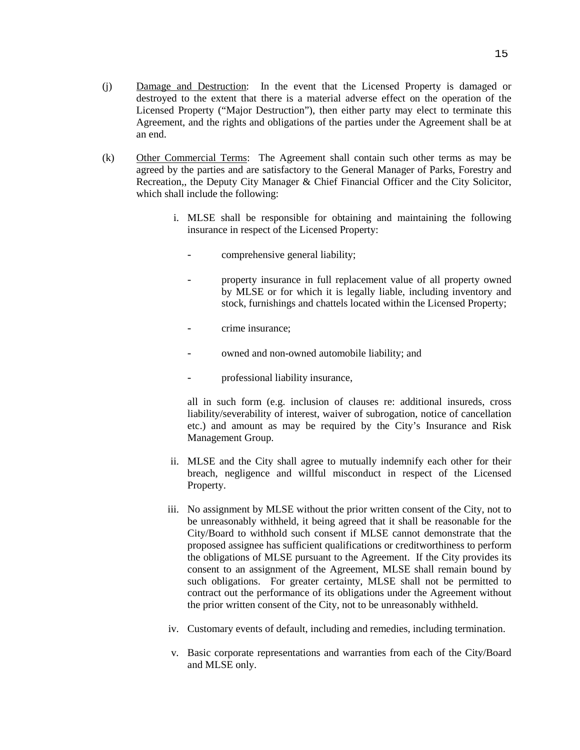- (j) Damage and Destruction: In the event that the Licensed Property is damaged or destroyed to the extent that there is a material adverse effect on the operation of the Licensed Property ("Major Destruction"), then either party may elect to terminate this Agreement, and the rights and obligations of the parties under the Agreement shall be at an end.
- (k) Other Commercial Terms: The Agreement shall contain such other terms as may be agreed by the parties and are satisfactory to the General Manager of Parks, Forestry and Recreation,, the Deputy City Manager & Chief Financial Officer and the City Solicitor, which shall include the following:
	- i. MLSE shall be responsible for obtaining and maintaining the following insurance in respect of the Licensed Property:
		- comprehensive general liability;
		- property insurance in full replacement value of all property owned by MLSE or for which it is legally liable, including inventory and stock, furnishings and chattels located within the Licensed Property;
		- crime insurance;
		- owned and non-owned automobile liability; and
		- professional liability insurance,

all in such form (e.g. inclusion of clauses re: additional insureds, cross liability/severability of interest, waiver of subrogation, notice of cancellation etc.) and amount as may be required by the City's Insurance and Risk Management Group.

- ii. MLSE and the City shall agree to mutually indemnify each other for their breach, negligence and willful misconduct in respect of the Licensed Property.
- iii. No assignment by MLSE without the prior written consent of the City, not to be unreasonably withheld, it being agreed that it shall be reasonable for the City/Board to withhold such consent if MLSE cannot demonstrate that the proposed assignee has sufficient qualifications or creditworthiness to perform the obligations of MLSE pursuant to the Agreement. If the City provides its consent to an assignment of the Agreement, MLSE shall remain bound by such obligations. For greater certainty, MLSE shall not be permitted to contract out the performance of its obligations under the Agreement without the prior written consent of the City, not to be unreasonably withheld.
- iv. Customary events of default, including and remedies, including termination.
- v. Basic corporate representations and warranties from each of the City/Board and MLSE only.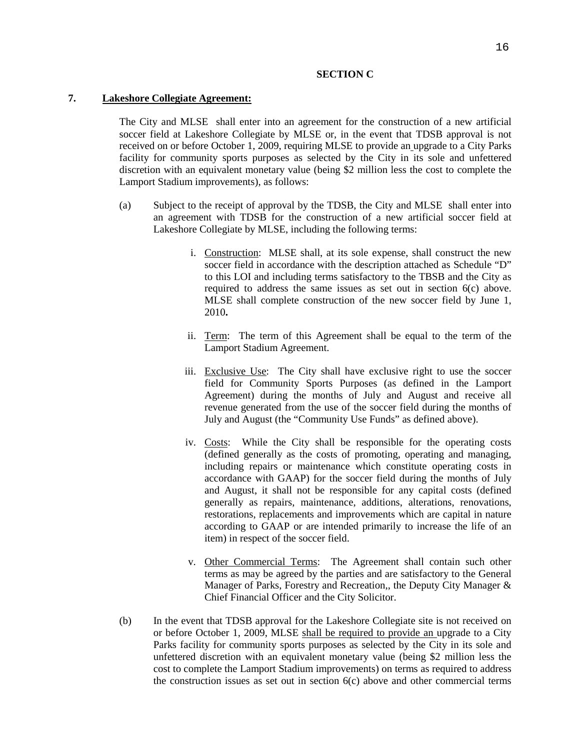#### **SECTION C**

### **7. Lakeshore Collegiate Agreement:**

The City and MLSE shall enter into an agreement for the construction of a new artificial soccer field at Lakeshore Collegiate by MLSE or, in the event that TDSB approval is not received on or before October 1, 2009, requiring MLSE to provide an upgrade to a City Parks facility for community sports purposes as selected by the City in its sole and unfettered discretion with an equivalent monetary value (being \$2 million less the cost to complete the Lamport Stadium improvements), as follows:

- (a) Subject to the receipt of approval by the TDSB, the City and MLSE shall enter into an agreement with TDSB for the construction of a new artificial soccer field at Lakeshore Collegiate by MLSE, including the following terms:
	- i. Construction: MLSE shall, at its sole expense, shall construct the new soccer field in accordance with the description attached as Schedule "D" to this LOI and including terms satisfactory to the TBSB and the City as required to address the same issues as set out in section 6(c) above. MLSE shall complete construction of the new soccer field by June 1, 2010**.**
	- ii. Term: The term of this Agreement shall be equal to the term of the Lamport Stadium Agreement.
	- iii. Exclusive Use: The City shall have exclusive right to use the soccer field for Community Sports Purposes (as defined in the Lamport Agreement) during the months of July and August and receive all revenue generated from the use of the soccer field during the months of July and August (the "Community Use Funds" as defined above).
	- iv. Costs: While the City shall be responsible for the operating costs (defined generally as the costs of promoting, operating and managing, including repairs or maintenance which constitute operating costs in accordance with GAAP) for the soccer field during the months of July and August, it shall not be responsible for any capital costs (defined generally as repairs, maintenance, additions, alterations, renovations, restorations, replacements and improvements which are capital in nature according to GAAP or are intended primarily to increase the life of an item) in respect of the soccer field.
	- v. Other Commercial Terms: The Agreement shall contain such other terms as may be agreed by the parties and are satisfactory to the General Manager of Parks, Forestry and Recreation,, the Deputy City Manager & Chief Financial Officer and the City Solicitor.
- (b) In the event that TDSB approval for the Lakeshore Collegiate site is not received on or before October 1, 2009, MLSE shall be required to provide an upgrade to a City Parks facility for community sports purposes as selected by the City in its sole and unfettered discretion with an equivalent monetary value (being \$2 million less the cost to complete the Lamport Stadium improvements) on terms as required to address the construction issues as set out in section 6(c) above and other commercial terms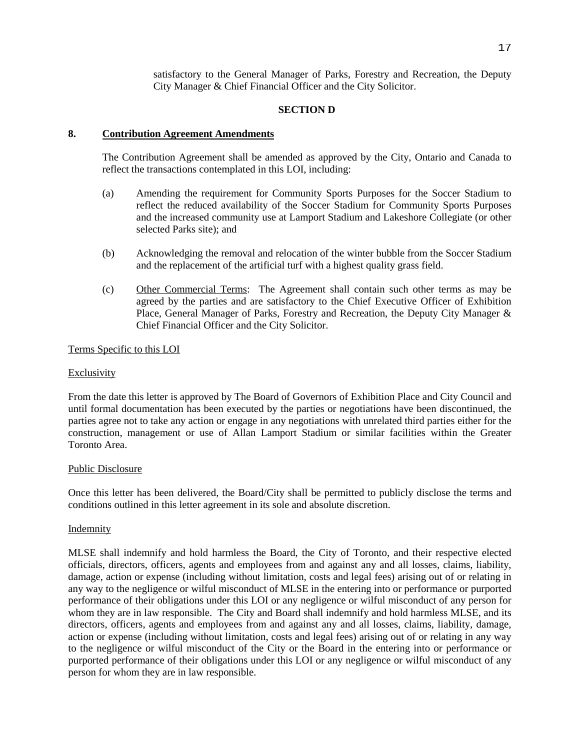satisfactory to the General Manager of Parks, Forestry and Recreation, the Deputy City Manager & Chief Financial Officer and the City Solicitor.

## **SECTION D**

## **8. Contribution Agreement Amendments**

The Contribution Agreement shall be amended as approved by the City, Ontario and Canada to reflect the transactions contemplated in this LOI, including:

- (a) Amending the requirement for Community Sports Purposes for the Soccer Stadium to reflect the reduced availability of the Soccer Stadium for Community Sports Purposes and the increased community use at Lamport Stadium and Lakeshore Collegiate (or other selected Parks site); and
- (b) Acknowledging the removal and relocation of the winter bubble from the Soccer Stadium and the replacement of the artificial turf with a highest quality grass field.
- (c) Other Commercial Terms: The Agreement shall contain such other terms as may be agreed by the parties and are satisfactory to the Chief Executive Officer of Exhibition Place, General Manager of Parks, Forestry and Recreation, the Deputy City Manager & Chief Financial Officer and the City Solicitor.

## Terms Specific to this LOI

#### Exclusivity

From the date this letter is approved by The Board of Governors of Exhibition Place and City Council and until formal documentation has been executed by the parties or negotiations have been discontinued, the parties agree not to take any action or engage in any negotiations with unrelated third parties either for the construction, management or use of Allan Lamport Stadium or similar facilities within the Greater Toronto Area.

#### Public Disclosure

Once this letter has been delivered, the Board/City shall be permitted to publicly disclose the terms and conditions outlined in this letter agreement in its sole and absolute discretion.

#### Indemnity

MLSE shall indemnify and hold harmless the Board, the City of Toronto, and their respective elected officials, directors, officers, agents and employees from and against any and all losses, claims, liability, damage, action or expense (including without limitation, costs and legal fees) arising out of or relating in any way to the negligence or wilful misconduct of MLSE in the entering into or performance or purported performance of their obligations under this LOI or any negligence or wilful misconduct of any person for whom they are in law responsible. The City and Board shall indemnify and hold harmless MLSE, and its directors, officers, agents and employees from and against any and all losses, claims, liability, damage, action or expense (including without limitation, costs and legal fees) arising out of or relating in any way to the negligence or wilful misconduct of the City or the Board in the entering into or performance or purported performance of their obligations under this LOI or any negligence or wilful misconduct of any person for whom they are in law responsible.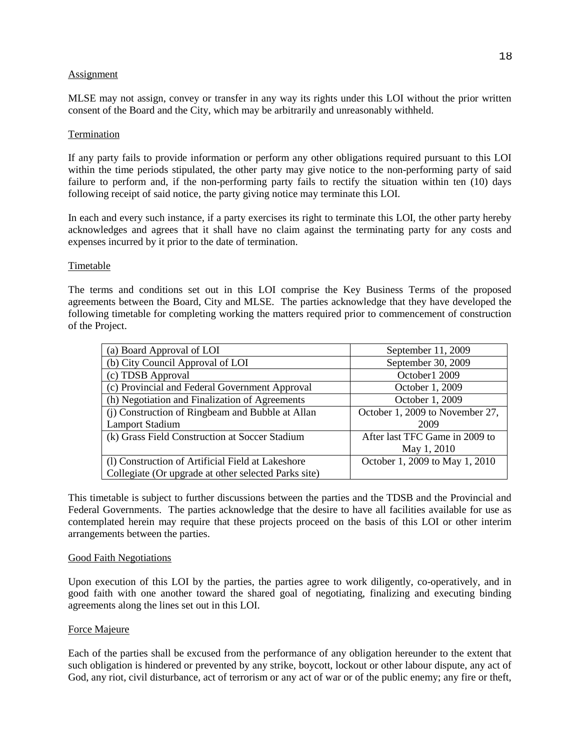#### Assignment

MLSE may not assign, convey or transfer in any way its rights under this LOI without the prior written consent of the Board and the City, which may be arbitrarily and unreasonably withheld.

### Termination

If any party fails to provide information or perform any other obligations required pursuant to this LOI within the time periods stipulated, the other party may give notice to the non-performing party of said failure to perform and, if the non-performing party fails to rectify the situation within ten (10) days following receipt of said notice, the party giving notice may terminate this LOI.

In each and every such instance, if a party exercises its right to terminate this LOI, the other party hereby acknowledges and agrees that it shall have no claim against the terminating party for any costs and expenses incurred by it prior to the date of termination.

## **Timetable**

The terms and conditions set out in this LOI comprise the Key Business Terms of the proposed agreements between the Board, City and MLSE. The parties acknowledge that they have developed the following timetable for completing working the matters required prior to commencement of construction of the Project.

| (a) Board Approval of LOI                            | September 11, 2009              |
|------------------------------------------------------|---------------------------------|
| (b) City Council Approval of LOI                     | September 30, 2009              |
| (c) TDSB Approval                                    | October 1 2009                  |
| (c) Provincial and Federal Government Approval       | October 1, 2009                 |
| (h) Negotiation and Finalization of Agreements       | October 1, 2009                 |
| (i) Construction of Ringbeam and Bubble at Allan     | October 1, 2009 to November 27, |
| <b>Lamport Stadium</b>                               | 2009                            |
| (k) Grass Field Construction at Soccer Stadium       | After last TFC Game in 2009 to  |
|                                                      | May 1, 2010                     |
| (1) Construction of Artificial Field at Lakeshore    | October 1, 2009 to May 1, 2010  |
| Collegiate (Or upgrade at other selected Parks site) |                                 |

This timetable is subject to further discussions between the parties and the TDSB and the Provincial and Federal Governments. The parties acknowledge that the desire to have all facilities available for use as contemplated herein may require that these projects proceed on the basis of this LOI or other interim arrangements between the parties.

#### Good Faith Negotiations

Upon execution of this LOI by the parties, the parties agree to work diligently, co-operatively, and in good faith with one another toward the shared goal of negotiating, finalizing and executing binding agreements along the lines set out in this LOI.

## Force Majeure

Each of the parties shall be excused from the performance of any obligation hereunder to the extent that such obligation is hindered or prevented by any strike, boycott, lockout or other labour dispute, any act of God, any riot, civil disturbance, act of terrorism or any act of war or of the public enemy; any fire or theft,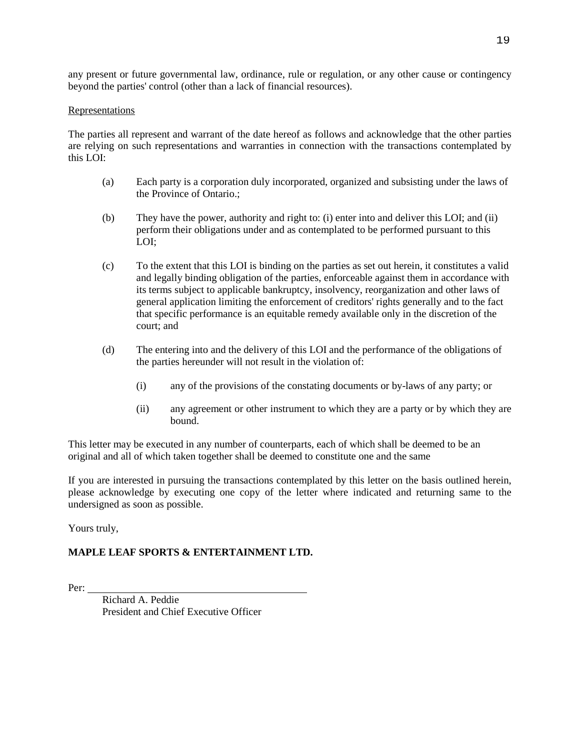any present or future governmental law, ordinance, rule or regulation, or any other cause or contingency beyond the parties' control (other than a lack of financial resources).

### Representations

The parties all represent and warrant of the date hereof as follows and acknowledge that the other parties are relying on such representations and warranties in connection with the transactions contemplated by this LOI:

- (a) Each party is a corporation duly incorporated, organized and subsisting under the laws of the Province of Ontario.;
- (b) They have the power, authority and right to: (i) enter into and deliver this LOI; and (ii) perform their obligations under and as contemplated to be performed pursuant to this LOI;
- (c) To the extent that this LOI is binding on the parties as set out herein, it constitutes a valid and legally binding obligation of the parties, enforceable against them in accordance with its terms subject to applicable bankruptcy, insolvency, reorganization and other laws of general application limiting the enforcement of creditors' rights generally and to the fact that specific performance is an equitable remedy available only in the discretion of the court; and
- (d) The entering into and the delivery of this LOI and the performance of the obligations of the parties hereunder will not result in the violation of:
	- (i) any of the provisions of the constating documents or by-laws of any party; or
	- (ii) any agreement or other instrument to which they are a party or by which they are bound.

This letter may be executed in any number of counterparts, each of which shall be deemed to be an original and all of which taken together shall be deemed to constitute one and the same

If you are interested in pursuing the transactions contemplated by this letter on the basis outlined herein, please acknowledge by executing one copy of the letter where indicated and returning same to the undersigned as soon as possible.

Yours truly,

# **MAPLE LEAF SPORTS & ENTERTAINMENT LTD.**

Per:

 Richard A. Peddie President and Chief Executive Officer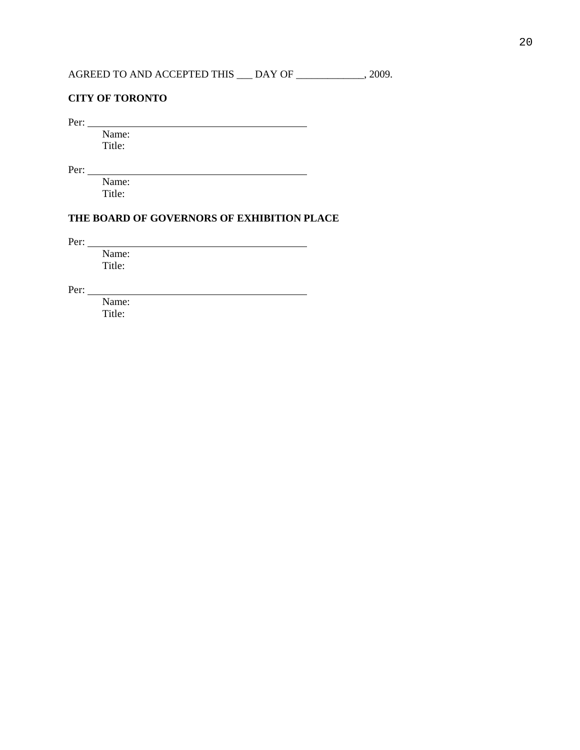### **CITY OF TORONTO**

Per:

 Name: Title:

Per:

 Name: Title:

## **THE BOARD OF GOVERNORS OF EXHIBITION PLACE**

<u> 1989 - Johann Barnett, fransk politik (d. 1989)</u>

Per:

 Name: Title:

Per:

 Name: Title: